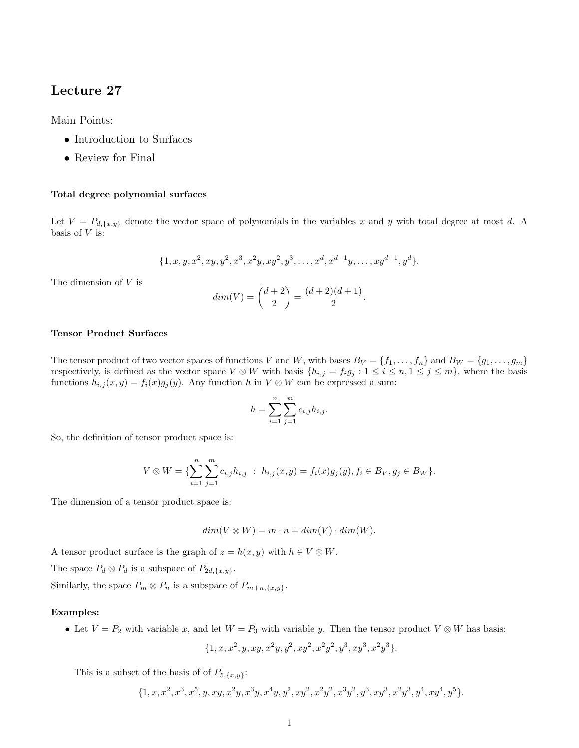# Lecture 27

Main Points:

- Introduction to Surfaces
- Review for Final

## Total degree polynomial surfaces

Let  $V = P_{d,\{x,y\}}$  denote the vector space of polynomials in the variables x and y with total degree at most d. A basis of  $V$  is:

$$
\{1, x, y, x^2, xy, y^2, x^3, x^2y, xy^2, y^3, \dots, x^d, x^{d-1}y, \dots, xy^{d-1}, y^d\}.
$$

The dimension of V is

$$
dim(V) = \binom{d+2}{2} = \frac{(d+2)(d+1)}{2}.
$$

### Tensor Product Surfaces

The tensor product of two vector spaces of functions V and W, with bases  $B_V = \{f_1, \ldots, f_n\}$  and  $B_W = \{g_1, \ldots, g_m\}$ respectively, is defined as the vector space  $V \otimes W$  with basis  $\{h_{i,j} = f_i g_j : 1 \le i \le n, 1 \le j \le m\}$ , where the basis functions  $h_{i,j}(x, y) = f_i(x)g_j(y)$ . Any function h in  $V \otimes W$  can be expressed a sum:

$$
h = \sum_{i=1}^{n} \sum_{j=1}^{m} c_{i,j} h_{i,j}.
$$

So, the definition of tensor product space is:

$$
V \otimes W = \{ \sum_{i=1}^{n} \sum_{j=1}^{m} c_{i,j} h_{i,j} : h_{i,j}(x, y) = f_i(x) g_j(y), f_i \in B_V, g_j \in B_W \}.
$$

The dimension of a tensor product space is:

$$
dim(V \otimes W) = m \cdot n = dim(V) \cdot dim(W).
$$

A tensor product surface is the graph of  $z = h(x, y)$  with  $h \in V \otimes W$ .

The space  $P_d \otimes P_d$  is a subspace of  $P_{2d,\lbrace x,y \rbrace}$ .

Similarly, the space  $P_m \otimes P_n$  is a subspace of  $P_{m+n,\lbrace x,y \rbrace}$ .

#### Examples:

• Let  $V = P_2$  with variable x, and let  $W = P_3$  with variable y. Then the tensor product  $V \otimes W$  has basis:

$$
\{1, x, x^2, y, xy, x^2y, y^2, xy^2, x^2y^2, y^3, xy^3, x^2y^3\}.
$$

This is a subset of the basis of of  $P_{5,\lbrace x,y\rbrace}$ :

$$
\{1, x, x^2, x^3, x^5, y, xy, x^2y, x^3y, x^4y, y^2, xy^2, x^2y^2, x^3y^2, y^3, xy^3, x^2y^3, y^4, xy^4, y^5\}.
$$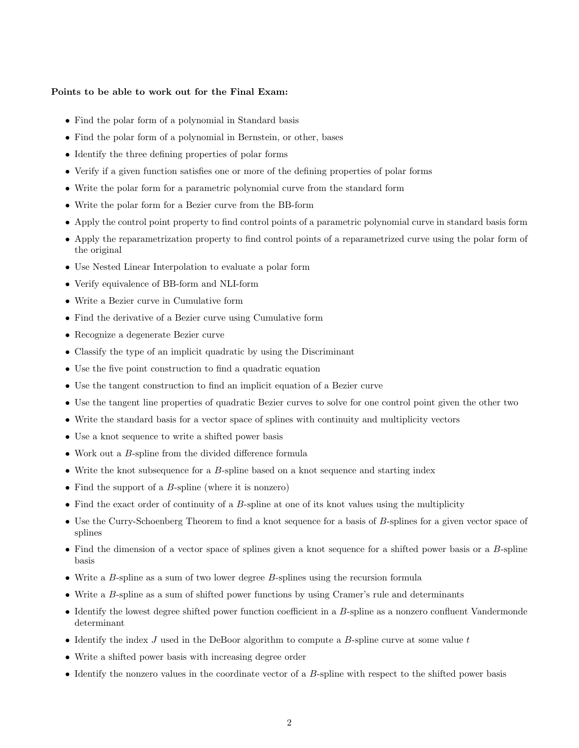## Points to be able to work out for the Final Exam:

- Find the polar form of a polynomial in Standard basis
- Find the polar form of a polynomial in Bernstein, or other, bases
- Identify the three defining properties of polar forms
- Verify if a given function satisfies one or more of the defining properties of polar forms
- Write the polar form for a parametric polynomial curve from the standard form
- Write the polar form for a Bezier curve from the BB-form
- Apply the control point property to find control points of a parametric polynomial curve in standard basis form
- Apply the reparametrization property to find control points of a reparametrized curve using the polar form of the original
- Use Nested Linear Interpolation to evaluate a polar form
- Verify equivalence of BB-form and NLI-form
- Write a Bezier curve in Cumulative form
- Find the derivative of a Bezier curve using Cumulative form
- Recognize a degenerate Bezier curve
- Classify the type of an implicit quadratic by using the Discriminant
- Use the five point construction to find a quadratic equation
- Use the tangent construction to find an implicit equation of a Bezier curve
- Use the tangent line properties of quadratic Bezier curves to solve for one control point given the other two
- Write the standard basis for a vector space of splines with continuity and multiplicity vectors
- Use a knot sequence to write a shifted power basis
- Work out a B-spline from the divided difference formula
- Write the knot subsequence for a B-spline based on a knot sequence and starting index
- Find the support of a  $B$ -spline (where it is nonzero)
- Find the exact order of continuity of a B-spline at one of its knot values using the multiplicity
- Use the Curry-Schoenberg Theorem to find a knot sequence for a basis of B-splines for a given vector space of splines
- Find the dimension of a vector space of splines given a knot sequence for a shifted power basis or a B-spline basis
- Write a  $B$ -spline as a sum of two lower degree  $B$ -splines using the recursion formula
- Write a B-spline as a sum of shifted power functions by using Cramer's rule and determinants
- Identify the lowest degree shifted power function coefficient in a B-spline as a nonzero confluent Vandermonde determinant
- Identify the index  $J$  used in the DeBoor algorithm to compute a  $B$ -spline curve at some value  $t$
- Write a shifted power basis with increasing degree order
- Identify the nonzero values in the coordinate vector of a B-spline with respect to the shifted power basis